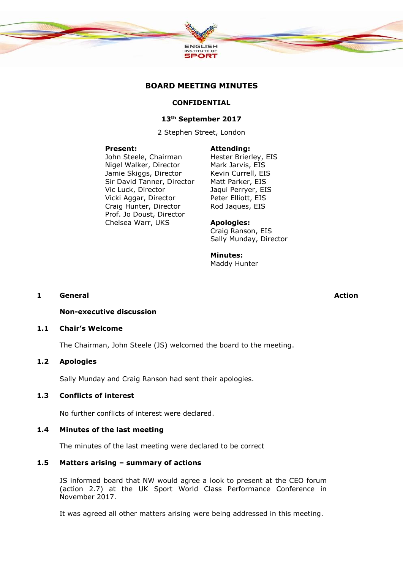

# **BOARD MEETING MINUTES**

#### **CONFIDENTIAL**

#### **13th September 2017**

2 Stephen Street, London

#### **Present:**

John Steele, Chairman Nigel Walker, Director Jamie Skiggs, Director Sir David Tanner, Director Vic Luck, Director Vicki Aggar, Director Craig Hunter, Director Prof. Jo Doust, Director Chelsea Warr, UKS

#### **Attending:**

Hester Brierley, EIS Mark Jarvis, EIS Kevin Currell, EIS Matt Parker, EIS Jaqui Perryer, EIS Peter Elliott, EIS Rod Jaques, EIS

#### **Apologies:**

Craig Ranson, EIS Sally Munday, Director

#### **Minutes:**

Maddy Hunter

#### **1 General Action**

**Non-executive discussion**

## **1.1 Chair's Welcome**

The Chairman, John Steele (JS) welcomed the board to the meeting.

# **1.2 Apologies**

Sally Munday and Craig Ranson had sent their apologies.

# **1.3 Conflicts of interest**

No further conflicts of interest were declared.

#### **1.4 Minutes of the last meeting**

The minutes of the last meeting were declared to be correct

#### **1.5 Matters arising – summary of actions**

JS informed board that NW would agree a look to present at the CEO forum (action 2.7) at the UK Sport World Class Performance Conference in November 2017.

It was agreed all other matters arising were being addressed in this meeting.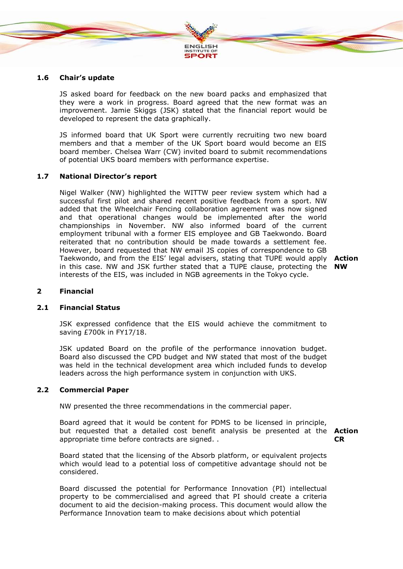

#### **1.6 Chair's update**

JS asked board for feedback on the new board packs and emphasized that they were a work in progress. Board agreed that the new format was an improvement. Jamie Skiggs (JSK) stated that the financial report would be developed to represent the data graphically.

JS informed board that UK Sport were currently recruiting two new board members and that a member of the UK Sport board would become an EIS board member. Chelsea Warr (CW) invited board to submit recommendations of potential UKS board members with performance expertise.

#### **1.7 National Director's report**

Nigel Walker (NW) highlighted the WITTW peer review system which had a successful first pilot and shared recent positive feedback from a sport. NW added that the Wheelchair Fencing collaboration agreement was now signed and that operational changes would be implemented after the world championships in November. NW also informed board of the current employment tribunal with a former EIS employee and GB Taekwondo. Board reiterated that no contribution should be made towards a settlement fee. However, board requested that NW email JS copies of correspondence to GB Taekwondo, and from the EIS' legal advisers, stating that TUPE would apply **Action**  in this case. NW and JSK further stated that a TUPE clause, protecting the **NW** interests of the EIS, was included in NGB agreements in the Tokyo cycle.

#### **2 Financial**

#### **2.1 Financial Status**

JSK expressed confidence that the EIS would achieve the commitment to saving £700k in FY17/18.

JSK updated Board on the profile of the performance innovation budget. Board also discussed the CPD budget and NW stated that most of the budget was held in the technical development area which included funds to develop leaders across the high performance system in conjunction with UKS.

# **2.2 Commercial Paper**

NW presented the three recommendations in the commercial paper.

Board agreed that it would be content for PDMS to be licensed in principle, but requested that a detailed cost benefit analysis be presented at the **Action**  appropriate time before contracts are signed. . **CR**

Board stated that the licensing of the Absorb platform, or equivalent projects which would lead to a potential loss of competitive advantage should not be considered.

Board discussed the potential for Performance Innovation (PI) intellectual property to be commercialised and agreed that PI should create a criteria document to aid the decision-making process. This document would allow the Performance Innovation team to make decisions about which potential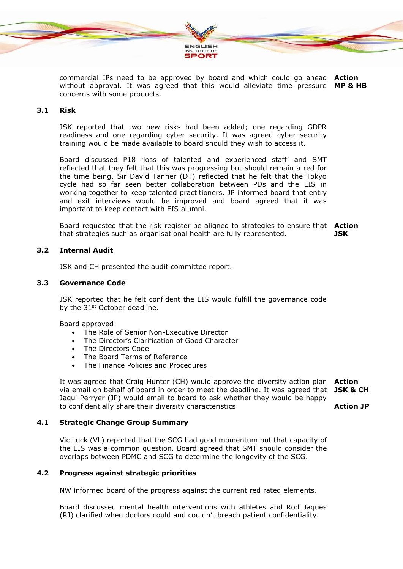

commercial IPs need to be approved by board and which could go ahead **Action**  without approval. It was agreed that this would alleviate time pressure **MP & HB** concerns with some products.

# **3.1 Risk**

JSK reported that two new risks had been added; one regarding GDPR readiness and one regarding cyber security. It was agreed cyber security training would be made available to board should they wish to access it.

Board discussed P18 'loss of talented and experienced staff' and SMT reflected that they felt that this was progressing but should remain a red for the time being. Sir David Tanner (DT) reflected that he felt that the Tokyo cycle had so far seen better collaboration between PDs and the EIS in working together to keep talented practitioners. JP informed board that entry and exit interviews would be improved and board agreed that it was important to keep contact with EIS alumni.

Board requested that the risk register be aligned to strategies to ensure that **Action**  that strategies such as organisational health are fully represented. **JSK**

# **3.2 Internal Audit**

JSK and CH presented the audit committee report.

#### **3.3 Governance Code**

JSK reported that he felt confident the EIS would fulfill the governance code by the 31<sup>st</sup> October deadline.

Board approved:

- The Role of Senior Non-Executive Director
- The Director's Clarification of Good Character
- The Directors Code
- The Board Terms of Reference
- The Finance Policies and Procedures

It was agreed that Craig Hunter (CH) would approve the diversity action plan **Action**  via email on behalf of board in order to meet the deadline. It was agreed that **JSK & CH** Jaqui Perryer (JP) would email to board to ask whether they would be happy to confidentially share their diversity characteristics **Action JP**

**4.1 Strategic Change Group Summary**

Vic Luck (VL) reported that the SCG had good momentum but that capacity of the EIS was a common question. Board agreed that SMT should consider the overlaps between PDMC and SCG to determine the longevity of the SCG.

# **4.2 Progress against strategic priorities**

NW informed board of the progress against the current red rated elements.

Board discussed mental health interventions with athletes and Rod Jaques (RJ) clarified when doctors could and couldn't breach patient confidentiality.